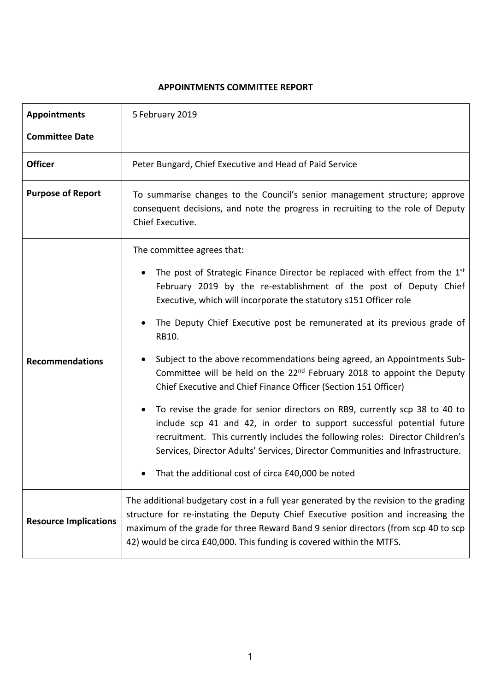## **APPOINTMENTS COMMITTEE REPORT**

| <b>Appointments</b>          | 5 February 2019                                                                                                                                                                                                                                                                                                                         |
|------------------------------|-----------------------------------------------------------------------------------------------------------------------------------------------------------------------------------------------------------------------------------------------------------------------------------------------------------------------------------------|
| <b>Committee Date</b>        |                                                                                                                                                                                                                                                                                                                                         |
| <b>Officer</b>               | Peter Bungard, Chief Executive and Head of Paid Service                                                                                                                                                                                                                                                                                 |
| <b>Purpose of Report</b>     | To summarise changes to the Council's senior management structure; approve<br>consequent decisions, and note the progress in recruiting to the role of Deputy<br>Chief Executive.                                                                                                                                                       |
|                              | The committee agrees that:                                                                                                                                                                                                                                                                                                              |
|                              | The post of Strategic Finance Director be replaced with effect from the 1 <sup>st</sup><br>February 2019 by the re-establishment of the post of Deputy Chief<br>Executive, which will incorporate the statutory s151 Officer role                                                                                                       |
|                              | The Deputy Chief Executive post be remunerated at its previous grade of<br>RB10.                                                                                                                                                                                                                                                        |
| <b>Recommendations</b>       | Subject to the above recommendations being agreed, an Appointments Sub-<br>Committee will be held on the 22 <sup>nd</sup> February 2018 to appoint the Deputy<br>Chief Executive and Chief Finance Officer (Section 151 Officer)                                                                                                        |
|                              | To revise the grade for senior directors on RB9, currently scp 38 to 40 to<br>include scp 41 and 42, in order to support successful potential future<br>recruitment. This currently includes the following roles: Director Children's<br>Services, Director Adults' Services, Director Communities and Infrastructure.                  |
|                              | That the additional cost of circa £40,000 be noted                                                                                                                                                                                                                                                                                      |
| <b>Resource Implications</b> | The additional budgetary cost in a full year generated by the revision to the grading<br>structure for re-instating the Deputy Chief Executive position and increasing the<br>maximum of the grade for three Reward Band 9 senior directors (from scp 40 to scp<br>42) would be circa £40,000. This funding is covered within the MTFS. |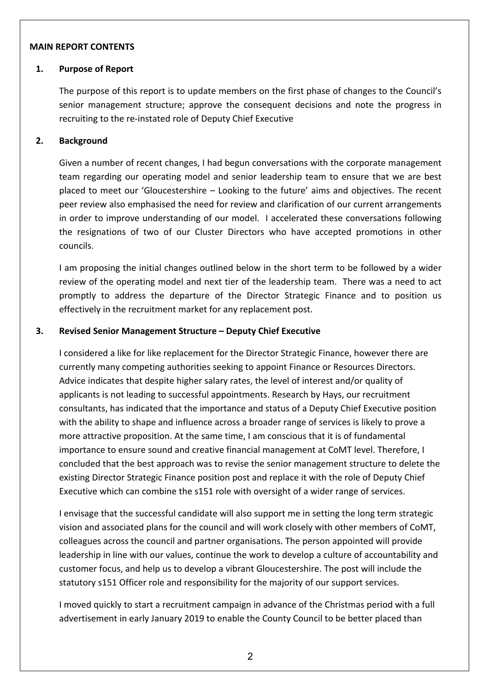#### **MAIN REPORT CONTENTS**

#### **1. Purpose of Report**

The purpose of this report is to update members on the first phase of changes to the Council's senior management structure; approve the consequent decisions and note the progress in recruiting to the re-instated role of Deputy Chief Executive

### **2. Background**

Given a number of recent changes, I had begun conversations with the corporate management team regarding our operating model and senior leadership team to ensure that we are best placed to meet our 'Gloucestershire – Looking to the future' aims and objectives. The recent peer review also emphasised the need for review and clarification of our current arrangements in order to improve understanding of our model. I accelerated these conversations following the resignations of two of our Cluster Directors who have accepted promotions in other councils.

I am proposing the initial changes outlined below in the short term to be followed by a wider review of the operating model and next tier of the leadership team. There was a need to act promptly to address the departure of the Director Strategic Finance and to position us effectively in the recruitment market for any replacement post.

#### **3. Revised Senior Management Structure – Deputy Chief Executive**

I considered a like for like replacement for the Director Strategic Finance, however there are currently many competing authorities seeking to appoint Finance or Resources Directors. Advice indicates that despite higher salary rates, the level of interest and/or quality of applicants is not leading to successful appointments. Research by Hays, our recruitment consultants, has indicated that the importance and status of a Deputy Chief Executive position with the ability to shape and influence across a broader range of services is likely to prove a more attractive proposition. At the same time, I am conscious that it is of fundamental importance to ensure sound and creative financial management at CoMT level. Therefore, I concluded that the best approach was to revise the senior management structure to delete the existing Director Strategic Finance position post and replace it with the role of Deputy Chief Executive which can combine the s151 role with oversight of a wider range of services.

I envisage that the successful candidate will also support me in setting the long term strategic vision and associated plans for the council and will work closely with other members of CoMT, colleagues across the council and partner organisations. The person appointed will provide leadership in line with our values, continue the work to develop a culture of accountability and customer focus, and help us to develop a vibrant Gloucestershire. The post will include the statutory s151 Officer role and responsibility for the majority of our support services.

I moved quickly to start a recruitment campaign in advance of the Christmas period with a full advertisement in early January 2019 to enable the County Council to be better placed than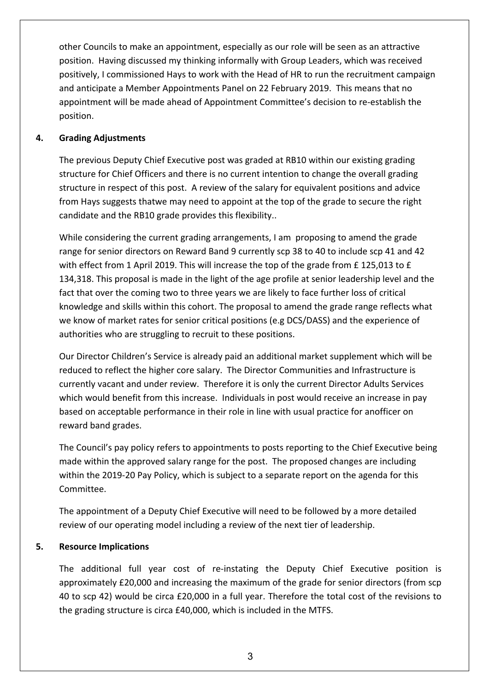other Councils to make an appointment, especially as our role will be seen as an attractive position. Having discussed my thinking informally with Group Leaders, which was received positively, I commissioned Hays to work with the Head of HR to run the recruitment campaign and anticipate a Member Appointments Panel on 22 February 2019. This means that no appointment will be made ahead of Appointment Committee's decision to re-establish the position.

## **4. Grading Adjustments**

The previous Deputy Chief Executive post was graded at RB10 within our existing grading structure for Chief Officers and there is no current intention to change the overall grading structure in respect of this post. A review of the salary for equivalent positions and advice from Hays suggests thatwe may need to appoint at the top of the grade to secure the right candidate and the RB10 grade provides this flexibility..

While considering the current grading arrangements, I am proposing to amend the grade range for senior directors on Reward Band 9 currently scp 38 to 40 to include scp 41 and 42 with effect from 1 April 2019. This will increase the top of the grade from £ 125,013 to £ 134,318. This proposal is made in the light of the age profile at senior leadership level and the fact that over the coming two to three years we are likely to face further loss of critical knowledge and skills within this cohort. The proposal to amend the grade range reflects what we know of market rates for senior critical positions (e.g DCS/DASS) and the experience of authorities who are struggling to recruit to these positions.

Our Director Children's Service is already paid an additional market supplement which will be reduced to reflect the higher core salary. The Director Communities and Infrastructure is currently vacant and under review. Therefore it is only the current Director Adults Services which would benefit from this increase. Individuals in post would receive an increase in pay based on acceptable performance in their role in line with usual practice for anofficer on reward band grades.

The Council's pay policy refers to appointments to posts reporting to the Chief Executive being made within the approved salary range for the post. The proposed changes are including within the 2019-20 Pay Policy, which is subject to a separate report on the agenda for this Committee.

The appointment of a Deputy Chief Executive will need to be followed by a more detailed review of our operating model including a review of the next tier of leadership.

# **5. Resource Implications**

The additional full year cost of re-instating the Deputy Chief Executive position is approximately £20,000 and increasing the maximum of the grade for senior directors (from scp 40 to scp 42) would be circa £20,000 in a full year. Therefore the total cost of the revisions to the grading structure is circa £40,000, which is included in the MTFS.